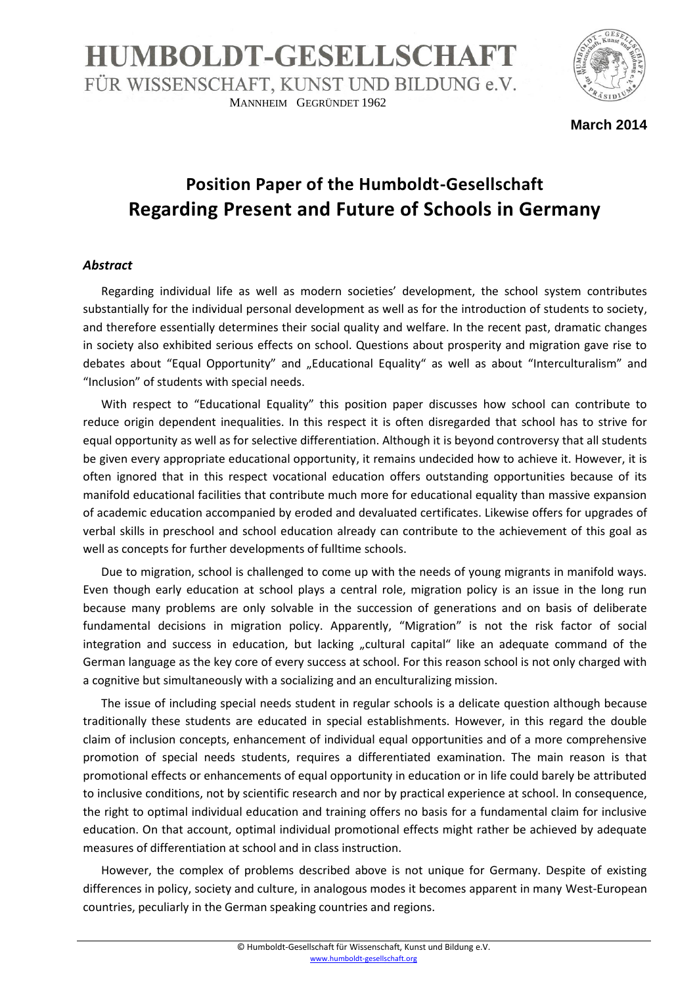## **HUMBOLDT-GESELLSCHAFT** FÜR WISSENSCHAFT, KUNST UND BILDUNG e.V. MANNHEIM GEGRÜNDET 1962



**March 2014**

## **Position Paper of the Humboldt-Gesellschaft Regarding Present and Future of Schools in Germany**

## *Abstract*

Regarding individual life as well as modern societies' development, the school system contributes substantially for the individual personal development as well as for the introduction of students to society, and therefore essentially determines their social quality and welfare. In the recent past, dramatic changes in society also exhibited serious effects on school. Questions about prosperity and migration gave rise to debates about "Equal Opportunity" and "Educational Equality" as well as about "Interculturalism" and "Inclusion" of students with special needs.

With respect to "Educational Equality" this position paper discusses how school can contribute to reduce origin dependent inequalities. In this respect it is often disregarded that school has to strive for equal opportunity as well as for selective differentiation. Although it is beyond controversy that all students be given every appropriate educational opportunity, it remains undecided how to achieve it. However, it is often ignored that in this respect vocational education offers outstanding opportunities because of its manifold educational facilities that contribute much more for educational equality than massive expansion of academic education accompanied by eroded and devaluated certificates. Likewise offers for upgrades of verbal skills in preschool and school education already can contribute to the achievement of this goal as well as concepts for further developments of fulltime schools.

Due to migration, school is challenged to come up with the needs of young migrants in manifold ways. Even though early education at school plays a central role, migration policy is an issue in the long run because many problems are only solvable in the succession of generations and on basis of deliberate fundamental decisions in migration policy. Apparently, "Migration" is not the risk factor of social integration and success in education, but lacking "cultural capital" like an adequate command of the German language as the key core of every success at school. For this reason school is not only charged with a cognitive but simultaneously with a socializing and an enculturalizing mission.

The issue of including special needs student in regular schools is a delicate question although because traditionally these students are educated in special establishments. However, in this regard the double claim of inclusion concepts, enhancement of individual equal opportunities and of a more comprehensive promotion of special needs students, requires a differentiated examination. The main reason is that promotional effects or enhancements of equal opportunity in education or in life could barely be attributed to inclusive conditions, not by scientific research and nor by practical experience at school. In consequence, the right to optimal individual education and training offers no basis for a fundamental claim for inclusive education. On that account, optimal individual promotional effects might rather be achieved by adequate measures of differentiation at school and in class instruction.

However, the complex of problems described above is not unique for Germany. Despite of existing differences in policy, society and culture, in analogous modes it becomes apparent in many West-European countries, peculiarly in the German speaking countries and regions.